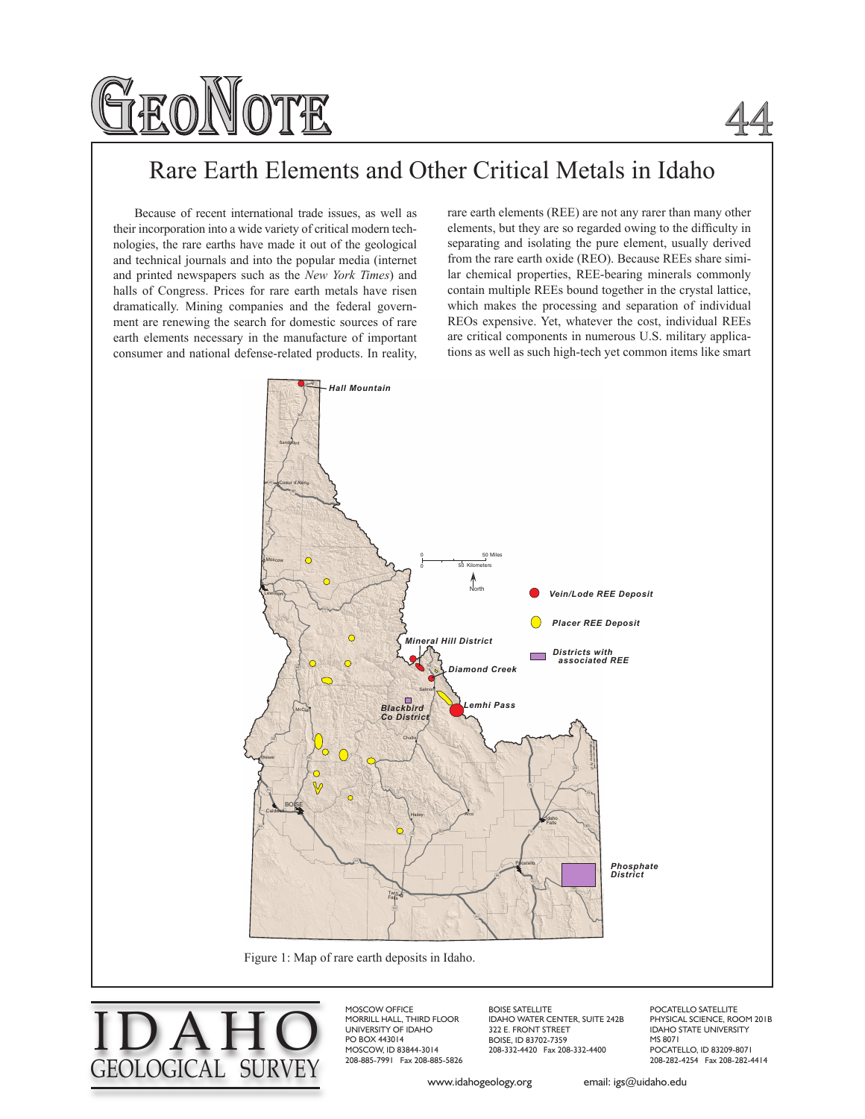

## 44

## Rare Earth Elements and Other Critical Metals in Idaho

Because of recent international trade issues, as well as their incorporation into a wide variety of critical modern technologies, the rare earths have made it out of the geological and technical journals and into the popular media (internet and printed newspapers such as the *New York Times*) and halls of Congress. Prices for rare earth metals have risen dramatically. Mining companies and the federal government are renewing the search for domestic sources of rare earth elements necessary in the manufacture of important consumer and national defense-related products. In reality, rare earth elements (REE) are not any rarer than many other elements, but they are so regarded owing to the difficulty in separating and isolating the pure element, usually derived from the rare earth oxide (REO). Because REEs share similar chemical properties, REE-bearing minerals commonly contain multiple REEs bound together in the crystal lattice, which makes the processing and separation of individual REOs expensive. Yet, whatever the cost, individual REEs are critical components in numerous U.S. military applications as well as such high-tech yet common items like smart



I DAH O GEOLOGICAL SURVE

MOSCOW OFFICE MORRILL HALL, THIRD FLOOR UNIVERSITY OF IDAHO PO BOX 443014 MOSCOW, ID 83844-3014 208-885-7991 Fax 208-885-5826

BOISE SATELLITE IDAHO WATER CENTER, SUITE 242B 322 E. FRONT STREET BOISE, ID 83702-7359 208-332-4420 Fax 208-332-4400

POCATELLO SATELLITE PHYSICAL SCIENCE, ROOM 201B IDAHO STATE UNIVERSITY MS 8071 POCATELLO, ID 83209-8071 208-282-4254 Fax 208-282-4414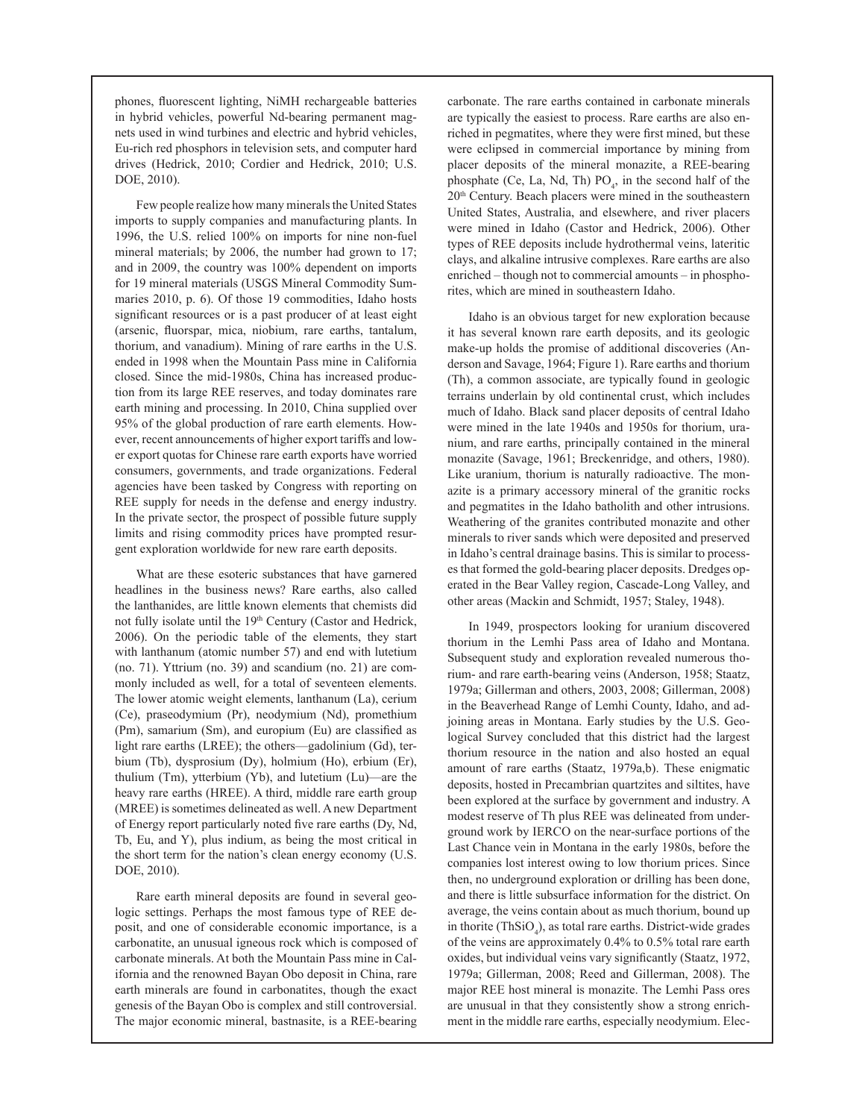phones, fluorescent lighting, NiMH rechargeable batteries in hybrid vehicles, powerful Nd-bearing permanent magnets used in wind turbines and electric and hybrid vehicles, Eu-rich red phosphors in television sets, and computer hard drives (Hedrick, 2010; Cordier and Hedrick, 2010; U.S. DOE, 2010).

Few people realize how many minerals the United States imports to supply companies and manufacturing plants. In 1996, the U.S. relied 100% on imports for nine non-fuel mineral materials; by 2006, the number had grown to 17; and in 2009, the country was 100% dependent on imports for 19 mineral materials (USGS Mineral Commodity Summaries 2010, p. 6). Of those 19 commodities, Idaho hosts significant resources or is a past producer of at least eight (arsenic, fluorspar, mica, niobium, rare earths, tantalum, thorium, and vanadium). Mining of rare earths in the U.S. ended in 1998 when the Mountain Pass mine in California closed. Since the mid-1980s, China has increased production from its large REE reserves, and today dominates rare earth mining and processing. In 2010, China supplied over 95% of the global production of rare earth elements. However, recent announcements of higher export tariffs and lower export quotas for Chinese rare earth exports have worried consumers, governments, and trade organizations. Federal agencies have been tasked by Congress with reporting on REE supply for needs in the defense and energy industry. In the private sector, the prospect of possible future supply limits and rising commodity prices have prompted resurgent exploration worldwide for new rare earth deposits.

What are these esoteric substances that have garnered headlines in the business news? Rare earths, also called the lanthanides, are little known elements that chemists did not fully isolate until the 19<sup>th</sup> Century (Castor and Hedrick, 2006). On the periodic table of the elements, they start with lanthanum (atomic number 57) and end with lutetium (no. 71). Yttrium (no. 39) and scandium (no. 21) are commonly included as well, for a total of seventeen elements. The lower atomic weight elements, lanthanum (La), cerium (Ce), praseodymium (Pr), neodymium (Nd), promethium (Pm), samarium (Sm), and europium (Eu) are classified as light rare earths (LREE); the others—gadolinium (Gd), terbium (Tb), dysprosium (Dy), holmium (Ho), erbium (Er), thulium (Tm), ytterbium (Yb), and lutetium (Lu)—are the heavy rare earths (HREE). A third, middle rare earth group (MREE) is sometimes delineated as well. A new Department of Energy report particularly noted five rare earths (Dy, Nd, Tb, Eu, and Y), plus indium, as being the most critical in the short term for the nation's clean energy economy (U.S. DOE, 2010).

Rare earth mineral deposits are found in several geologic settings. Perhaps the most famous type of REE deposit, and one of considerable economic importance, is a carbonatite, an unusual igneous rock which is composed of carbonate minerals. At both the Mountain Pass mine in California and the renowned Bayan Obo deposit in China, rare earth minerals are found in carbonatites, though the exact genesis of the Bayan Obo is complex and still controversial. The major economic mineral, bastnasite, is a REE-bearing

carbonate. The rare earths contained in carbonate minerals are typically the easiest to process. Rare earths are also enriched in pegmatites, where they were first mined, but these were eclipsed in commercial importance by mining from placer deposits of the mineral monazite, a REE-bearing phosphate (Ce, La, Nd, Th)  $PO_4$ , in the second half of the 20th Century. Beach placers were mined in the southeastern United States, Australia, and elsewhere, and river placers were mined in Idaho (Castor and Hedrick, 2006). Other types of REE deposits include hydrothermal veins, lateritic clays, and alkaline intrusive complexes. Rare earths are also enriched – though not to commercial amounts – in phosphorites, which are mined in southeastern Idaho.

Idaho is an obvious target for new exploration because it has several known rare earth deposits, and its geologic make-up holds the promise of additional discoveries (Anderson and Savage, 1964; Figure 1). Rare earths and thorium (Th), a common associate, are typically found in geologic terrains underlain by old continental crust, which includes much of Idaho. Black sand placer deposits of central Idaho were mined in the late 1940s and 1950s for thorium, uranium, and rare earths, principally contained in the mineral monazite (Savage, 1961; Breckenridge, and others, 1980). Like uranium, thorium is naturally radioactive. The monazite is a primary accessory mineral of the granitic rocks and pegmatites in the Idaho batholith and other intrusions. Weathering of the granites contributed monazite and other minerals to river sands which were deposited and preserved in Idaho's central drainage basins. This is similar to processes that formed the gold-bearing placer deposits. Dredges operated in the Bear Valley region, Cascade-Long Valley, and other areas (Mackin and Schmidt, 1957; Staley, 1948).

In 1949, prospectors looking for uranium discovered thorium in the Lemhi Pass area of Idaho and Montana. Subsequent study and exploration revealed numerous thorium- and rare earth-bearing veins (Anderson, 1958; Staatz, 1979a; Gillerman and others, 2003, 2008; Gillerman, 2008) in the Beaverhead Range of Lemhi County, Idaho, and adjoining areas in Montana. Early studies by the U.S. Geological Survey concluded that this district had the largest thorium resource in the nation and also hosted an equal amount of rare earths (Staatz, 1979a,b). These enigmatic deposits, hosted in Precambrian quartzites and siltites, have been explored at the surface by government and industry. A modest reserve of Th plus REE was delineated from underground work by IERCO on the near-surface portions of the Last Chance vein in Montana in the early 1980s, before the companies lost interest owing to low thorium prices. Since then, no underground exploration or drilling has been done, and there is little subsurface information for the district. On average, the veins contain about as much thorium, bound up in thorite  $(ThSiO<sub>4</sub>)$ , as total rare earths. District-wide grades of the veins are approximately 0.4% to 0.5% total rare earth oxides, but individual veins vary significantly (Staatz, 1972, 1979a; Gillerman, 2008; Reed and Gillerman, 2008). The major REE host mineral is monazite. The Lemhi Pass ores are unusual in that they consistently show a strong enrichment in the middle rare earths, especially neodymium. Elec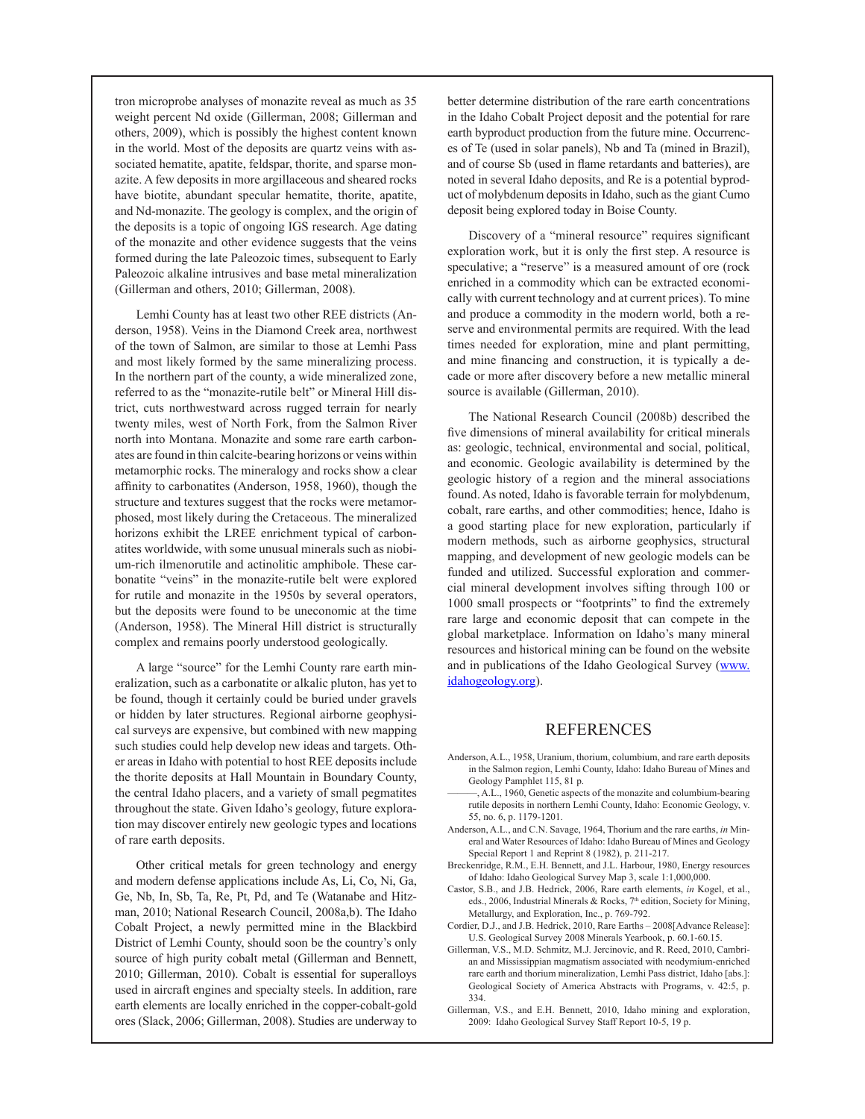tron microprobe analyses of monazite reveal as much as 35 weight percent Nd oxide (Gillerman, 2008; Gillerman and others, 2009), which is possibly the highest content known in the world. Most of the deposits are quartz veins with associated hematite, apatite, feldspar, thorite, and sparse monazite. A few deposits in more argillaceous and sheared rocks have biotite, abundant specular hematite, thorite, apatite, and Nd-monazite. The geology is complex, and the origin of the deposits is a topic of ongoing IGS research. Age dating of the monazite and other evidence suggests that the veins formed during the late Paleozoic times, subsequent to Early Paleozoic alkaline intrusives and base metal mineralization (Gillerman and others, 2010; Gillerman, 2008).

Lemhi County has at least two other REE districts (Anderson, 1958). Veins in the Diamond Creek area, northwest of the town of Salmon, are similar to those at Lemhi Pass and most likely formed by the same mineralizing process. In the northern part of the county, a wide mineralized zone, referred to as the "monazite-rutile belt" or Mineral Hill district, cuts northwestward across rugged terrain for nearly twenty miles, west of North Fork, from the Salmon River north into Montana. Monazite and some rare earth carbonates are found in thin calcite-bearing horizons or veins within metamorphic rocks. The mineralogy and rocks show a clear affinity to carbonatites (Anderson, 1958, 1960), though the structure and textures suggest that the rocks were metamorphosed, most likely during the Cretaceous. The mineralized horizons exhibit the LREE enrichment typical of carbonatites worldwide, with some unusual minerals such as niobium-rich ilmenorutile and actinolitic amphibole. These carbonatite "veins" in the monazite-rutile belt were explored for rutile and monazite in the 1950s by several operators, but the deposits were found to be uneconomic at the time (Anderson, 1958). The Mineral Hill district is structurally complex and remains poorly understood geologically.

A large "source" for the Lemhi County rare earth mineralization, such as a carbonatite or alkalic pluton, has yet to be found, though it certainly could be buried under gravels or hidden by later structures. Regional airborne geophysical surveys are expensive, but combined with new mapping such studies could help develop new ideas and targets. Other areas in Idaho with potential to host REE deposits include the thorite deposits at Hall Mountain in Boundary County, the central Idaho placers, and a variety of small pegmatites throughout the state. Given Idaho's geology, future exploration may discover entirely new geologic types and locations of rare earth deposits.

Other critical metals for green technology and energy and modern defense applications include As, Li, Co, Ni, Ga, Ge, Nb, In, Sb, Ta, Re, Pt, Pd, and Te (Watanabe and Hitzman, 2010; National Research Council, 2008a,b). The Idaho Cobalt Project, a newly permitted mine in the Blackbird District of Lemhi County, should soon be the country's only source of high purity cobalt metal (Gillerman and Bennett, 2010; Gillerman, 2010). Cobalt is essential for superalloys used in aircraft engines and specialty steels. In addition, rare earth elements are locally enriched in the copper-cobalt-gold ores (Slack, 2006; Gillerman, 2008). Studies are underway to better determine distribution of the rare earth concentrations in the Idaho Cobalt Project deposit and the potential for rare earth byproduct production from the future mine. Occurrences of Te (used in solar panels), Nb and Ta (mined in Brazil), and of course Sb (used in flame retardants and batteries), are noted in several Idaho deposits, and Re is a potential byproduct of molybdenum deposits in Idaho, such as the giant Cumo deposit being explored today in Boise County.

Discovery of a "mineral resource" requires significant exploration work, but it is only the first step. A resource is speculative; a "reserve" is a measured amount of ore (rock enriched in a commodity which can be extracted economically with current technology and at current prices). To mine and produce a commodity in the modern world, both a reserve and environmental permits are required. With the lead times needed for exploration, mine and plant permitting, and mine financing and construction, it is typically a decade or more after discovery before a new metallic mineral source is available (Gillerman, 2010).

The National Research Council (2008b) described the five dimensions of mineral availability for critical minerals as: geologic, technical, environmental and social, political, and economic. Geologic availability is determined by the geologic history of a region and the mineral associations found. As noted, Idaho is favorable terrain for molybdenum, cobalt, rare earths, and other commodities; hence, Idaho is a good starting place for new exploration, particularly if modern methods, such as airborne geophysics, structural mapping, and development of new geologic models can be funded and utilized. Successful exploration and commercial mineral development involves sifting through 100 or 1000 small prospects or "footprints" to find the extremely rare large and economic deposit that can compete in the global marketplace. Information on Idaho's many mineral resources and historical mining can be found on the website and in publications of the Idaho Geological Survey (www. idahogeology.org).

## REFERENCES

- Anderson, A.L., 1958, Uranium, thorium, columbium, and rare earth deposits in the Salmon region, Lemhi County, Idaho: Idaho Bureau of Mines and Geology Pamphlet 115, 81 p.
- A.L., 1960, Genetic aspects of the monazite and columbium-bearing rutile deposits in northern Lemhi County, Idaho: Economic Geology, v. 55, no. 6, p. 1179-1201.
- Anderson, A.L., and C.N. Savage, 1964, Thorium and the rare earths, *in* Mineral and Water Resources of Idaho: Idaho Bureau of Mines and Geology Special Report 1 and Reprint 8 (1982), p. 211-217.
- Breckenridge, R.M., E.H. Bennett, and J.L. Harbour, 1980, Energy resources of Idaho: Idaho Geological Survey Map 3, scale 1:1,000,000.
- Castor, S.B., and J.B. Hedrick, 2006, Rare earth elements, *in* Kogel, et al., eds., 2006, Industrial Minerals & Rocks, 7<sup>th</sup> edition, Society for Mining, Metallurgy, and Exploration, Inc., p. 769-792.
- Cordier, D.J., and J.B. Hedrick, 2010, Rare Earths 2008[Advance Release]: U.S. Geological Survey 2008 Minerals Yearbook, p. 60.1-60.15.
- Gillerman, V.S., M.D. Schmitz, M.J. Jercinovic, and R. Reed, 2010, Cambrian and Mississippian magmatism associated with neodymium-enriched rare earth and thorium mineralization, Lemhi Pass district, Idaho [abs.]: Geological Society of America Abstracts with Programs, v. 42:5, p. 334.
- Gillerman, V.S., and E.H. Bennett, 2010, Idaho mining and exploration, 2009: Idaho Geological Survey Staff Report 10-5, 19 p.